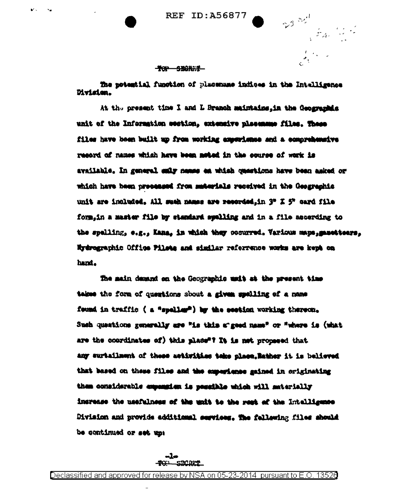**REF ID: A56877** 

 $3^{32}$ 

an San San Salah Kaléndher Tidak di Kabupatén Kaléndher Tidak di Kabupatén Kaléndher Kaléndher Tidak di Kabupa<br>Kacamatan Salah Kaléndher Tidak di Kabupatén Kaléndher Tidak di Kabupatén Kaléndher Tidak di Kabupatén Kaléndh

 $\frac{1}{\sqrt{2}}\int_{0}^{T} \frac{d\mu}{\lambda} \left( \frac{\partial \mu}{\partial \mu} \right) d\mu \, d\mu$ 

# TOP SECRET

The potential function of plasmame indices in the Intelligence Division.

At the present time I and L Branch maintains, in the Geographic unit of the Information section, extensive plassmume files. These files have been built up from working experience and a comprehensive resord of names which have been meted in the course of work is available. In general sair mames en which questions have been asked or which have been proceeded from meterials received in the Geographic unit are included. All such names are resorded.in 3" X 5" card file form.in a master file by standard spelling and in a file according to the spelling, e.g., Kana, in which they conured. Variaus maps, mactears, Nydrographic Office Pilete and similar referrance works are kept on hand.

The main demand on the Geographic usit at the present time takes the form of questions about a given spelling of a name found in traffic ( a "speller") by the section working thereon. Such questions generally are "is thin a"good name" or "where is (what are the coordinates of) this mlade<sup>s</sup>? It is not proposed that any surtailment of these activities teke place. Rather it is believed that based on these files and the experience gained in originating them considerable expangion is pessible which will materially increase the usafulness of the unit to the rest of the Intalligence Division and provide additional services. The fallowing files should be continued or set up: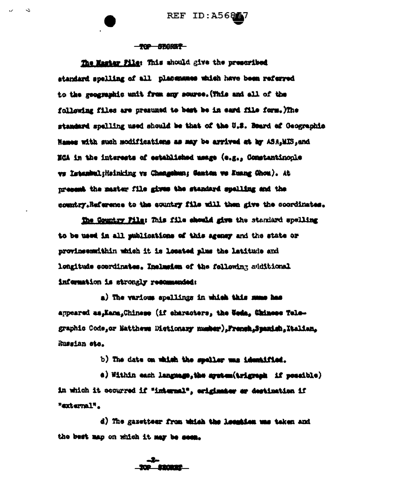REF ID: A56847

#### **TOP SECRET**

 $\mathbf{C}$ 

The Master Pile: This should give the prescribed standard spelling of all placemenes which have been referred to the geographic unit from any source. (This and all of the following files are presumed to best be in eard file form. The standard spelling used should be that of the U.S. Board of Geographic Names with such modifications as may be arrived at hy ASA.MIS.and ECA in the interests of established usage (e.g., Comstantinople ws Istanbul; Heinking vs Changebun; Ganton we Kuang Chou). At present the master file gives the standard spalling and the country.Reference to the country file will then give the coordinates.

The Country Film: This file should give the standard spelling to be used in all publications of this agency and the state or provinsemmithin which it is located plus the latitude and longitude coordinates, Inclusion of the following additional information is strongly resonaended:

a) The various spellings in which this mame has appeared as, Kana, Chinese (if characters, the Ueda, Chinese Telegraphic Code, or Matthews Dictionary number), French, Spanish, Italian, Russian sto.

b) The date on which the speller was identified.

e) Within each language, the agetem (trigreph if possible) in which it occurred if "internal", eriginater ar destination if "suternal".

d) The gazetteer from which the lecenies me taken and the best map on which it may be seem.

<u> 100 minut</u>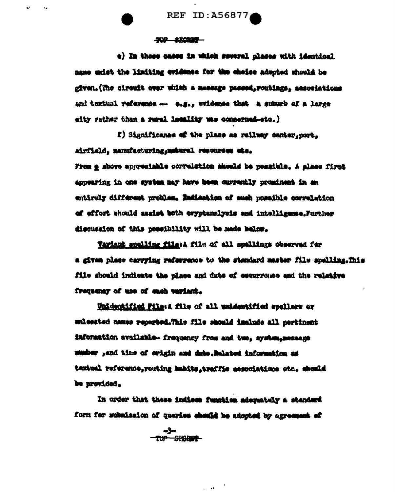REF ID: A56877

#### **TOP SROPER**

e) In those cases in which several places with identical name enist the limiting evidence for the choice adopted should be given.(The circuit over which a message passed,routings, associations and toxtual reference -- e.g., evidence that a suburb of a large city rather than a rural locality was concerned-sto.)

f) Significanse of the plase as railway center, port, airfield, manufacturing, maturel resources etc.

From g above appreciable correlation should be possible. A place first ancearing in one system may have been currently prominent in an entirely different problem. Endiestion of such possible correlation of effort should assist both exyptenslysis and intelligence. Further discussion of this possibility will be made below.

Variant spelling file: A file of all spellings observed for a given place carrying referrence to the standard master file spelling.This file should indicate the place and date of cocurrouse and the relative frequency of use of each veriant.

<u>Unidentified File</u>:A file of all unidentified spellers or unlessted names reported.This file should include all pertinent information available - frequency from and two, system, message musher , and time of origin and date. Related information as textual reference, routing habits, traffic associations etc. should be provided.

In order that these indices function adequately a standard form for submission of queries should be adopted by agreement of

 $\mathbf{u} = \mathbf{u}$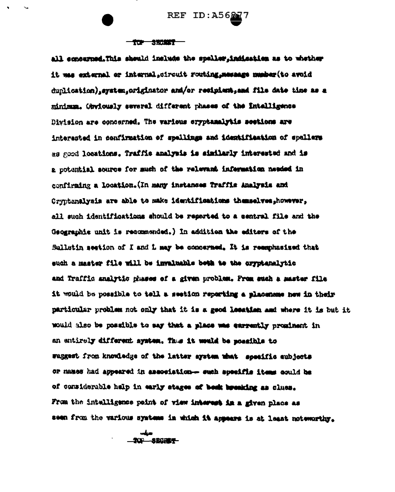REF ID:A5627

## TOP SECRET

all concerned.This should include the spaller.indication as to whether it was external or internal stroutt routing, message mesher(to avoid dunlication).system.originator and/or resinient.and file date time as a minimum. Geviously several different phases of the Intalligence Division are concerned. The various syptamalytis seetions are interested in confirmation of spellings and identification of spellers as good locations. Traffic analysis is similarly interested and is a potential source for much of the relevant information needed in confirming a location. (In many instances Traffis Analysis and Cryptanalysis are able to make identifications themselves, however, all such identifications should be reserted to a sentral file and the Geographie unit is recommended.) In addition the editors of the Sulletin section of I and L may be concerned. It is remarkasised that such a master file will be invaluable both to the cryptenalytic and Traffic smalytic phases of a given problem. From such a master file it would be possible to tell a section reporting a placement hew in their particular problem not only that it is a good lecation and where it is but it would also be possible to say that a place was exprestly prominent in an antirely different system, Thus it would be possible to suggest from knowledge of the latter system what specific emblects or names had appeared in association- such specific items could be of considerable help in early stages of besk breaking as clues. From the intelligence point of view interest in a given place as seen from the various systems in which it appears is at least noteworthy.

**AND ARCHER-**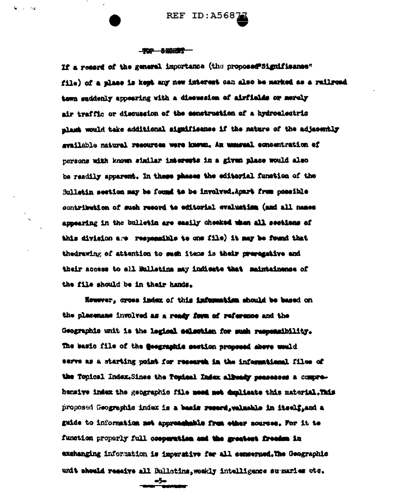## **TOP BEBRET**

If a resers of the general importance (the proposed"Significance" file) of a place is kept any new interest can also be marked as a railroad town suddenly appearing with a dissussion of airfields or merely air traffic or discussion of the expetraction of a hydroelectric mlass would take additional significance if the nature of the adjacently swailable natural resources were known, An unusual concentration of nersons with known similar interests in a given place would also be readily apparent. In these phases the editorial function of the Sullatin section may be found to be involved. Apart from possible contribution of such record to editorial evaluation (and all names appearing in the bulletin are easily checked when all sections of this division are responsible to one file) it may be found that thedrawing of attention to such items is their preregative and their access to all Bulletins may indicate that maintainense of the file should be in their hands.

However, cross index of this information should be based on the placemans involved as a ready form of reference and the Geographis unit is the legisal selection for such responsibility. The basic file of the fleegraphic section proposed above would serve as a starting point for research in the informational files of the Topical Index.Since the Topical Index alleady peaseses a comprehensiye index the geographic file meed met deplieate this material.This proposed Geographic index is a basis reserd, valuable in itself, and a guide to information not approachable from other sources. For it to function properly full cooperation and the greatest freedom in exchanging information is imperative for all conserped. The Geographic unit should reseive all Bullotins, woukly intulligence summaries ote.

-5-